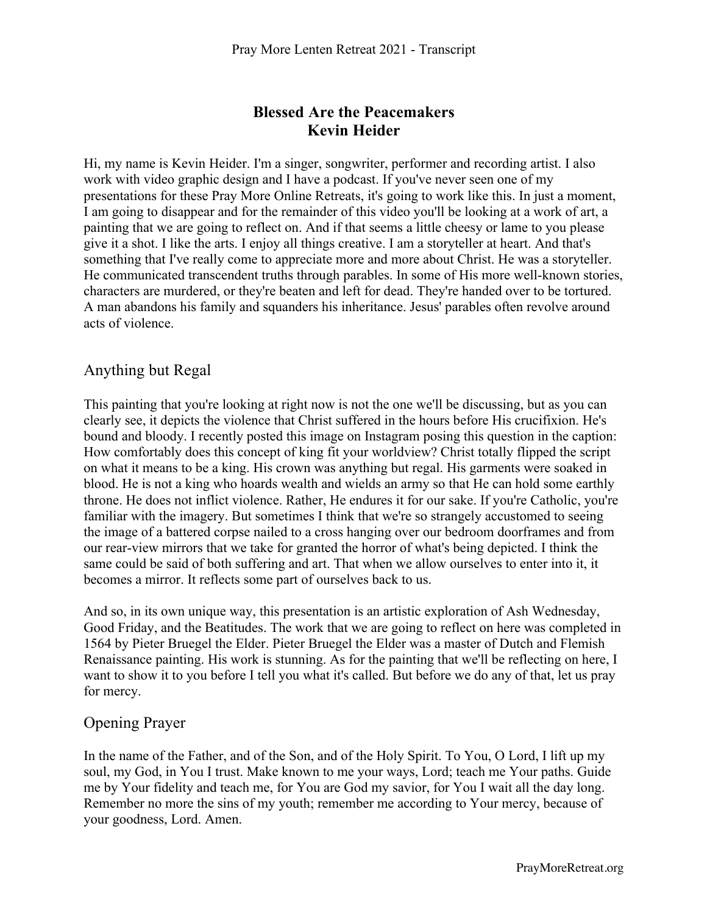# **Blessed Are the Peacemakers Kevin Heider**

Hi, my name is Kevin Heider. I'm a singer, songwriter, performer and recording artist. I also work with video graphic design and I have a podcast. If you've never seen one of my presentations for these Pray More Online Retreats, it's going to work like this. In just a moment, I am going to disappear and for the remainder of this video you'll be looking at a work of art, a painting that we are going to reflect on. And if that seems a little cheesy or lame to you please give it a shot. I like the arts. I enjoy all things creative. I am a storyteller at heart. And that's something that I've really come to appreciate more and more about Christ. He was a storyteller. He communicated transcendent truths through parables. In some of His more well-known stories, characters are murdered, or they're beaten and left for dead. They're handed over to be tortured. A man abandons his family and squanders his inheritance. Jesus' parables often revolve around acts of violence.

# Anything but Regal

This painting that you're looking at right now is not the one we'll be discussing, but as you can clearly see, it depicts the violence that Christ suffered in the hours before His crucifixion. He's bound and bloody. I recently posted this image on Instagram posing this question in the caption: How comfortably does this concept of king fit your worldview? Christ totally flipped the script on what it means to be a king. His crown was anything but regal. His garments were soaked in blood. He is not a king who hoards wealth and wields an army so that He can hold some earthly throne. He does not inflict violence. Rather, He endures it for our sake. If you're Catholic, you're familiar with the imagery. But sometimes I think that we're so strangely accustomed to seeing the image of a battered corpse nailed to a cross hanging over our bedroom doorframes and from our rear-view mirrors that we take for granted the horror of what's being depicted. I think the same could be said of both suffering and art. That when we allow ourselves to enter into it, it becomes a mirror. It reflects some part of ourselves back to us.

And so, in its own unique way, this presentation is an artistic exploration of Ash Wednesday, Good Friday, and the Beatitudes. The work that we are going to reflect on here was completed in 1564 by Pieter Bruegel the Elder. Pieter Bruegel the Elder was a master of Dutch and Flemish Renaissance painting. His work is stunning. As for the painting that we'll be reflecting on here, I want to show it to you before I tell you what it's called. But before we do any of that, let us pray for mercy.

## Opening Prayer

In the name of the Father, and of the Son, and of the Holy Spirit. To You, O Lord, I lift up my soul, my God, in You I trust. Make known to me your ways, Lord; teach me Your paths. Guide me by Your fidelity and teach me, for You are God my savior, for You I wait all the day long. Remember no more the sins of my youth; remember me according to Your mercy, because of your goodness, Lord. Amen.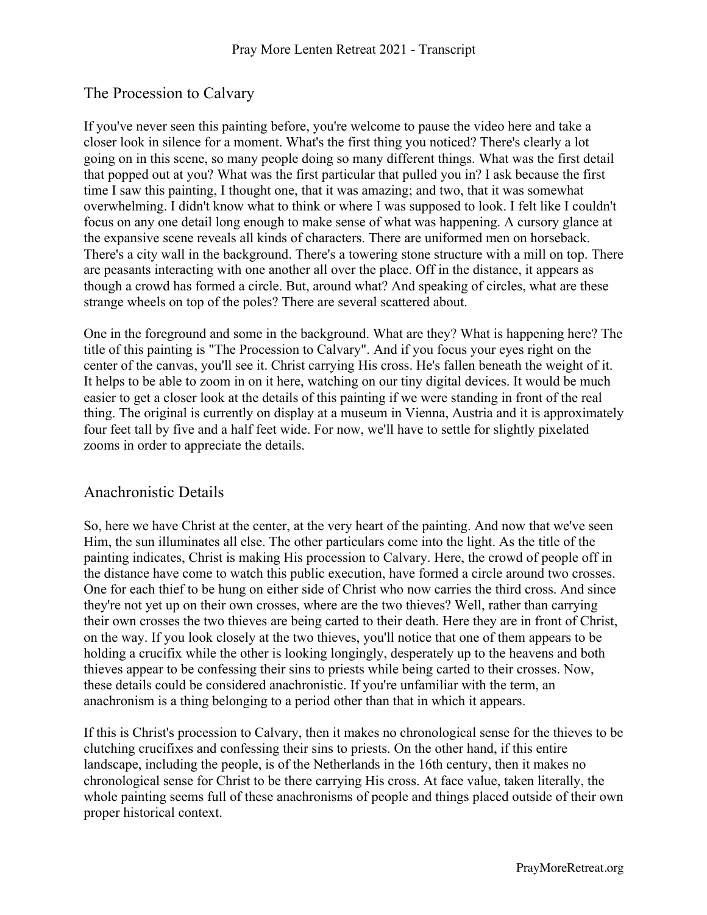# The Procession to Calvary

If you've never seen this painting before, you're welcome to pause the video here and take a closer look in silence for a moment. What's the first thing you noticed? There's clearly a lot going on in this scene, so many people doing so many different things. What was the first detail that popped out at you? What was the first particular that pulled you in? I ask because the first time I saw this painting, I thought one, that it was amazing; and two, that it was somewhat overwhelming. I didn't know what to think or where I was supposed to look. I felt like I couldn't focus on any one detail long enough to make sense of what was happening. A cursory glance at the expansive scene reveals all kinds of characters. There are uniformed men on horseback. There's a city wall in the background. There's a towering stone structure with a mill on top. There are peasants interacting with one another all over the place. Off in the distance, it appears as though a crowd has formed a circle. But, around what? And speaking of circles, what are these strange wheels on top of the poles? There are several scattered about.

One in the foreground and some in the background. What are they? What is happening here? The title of this painting is "The Procession to Calvary". And if you focus your eyes right on the center of the canvas, you'll see it. Christ carrying His cross. He's fallen beneath the weight of it. It helps to be able to zoom in on it here, watching on our tiny digital devices. It would be much easier to get a closer look at the details of this painting if we were standing in front of the real thing. The original is currently on display at a museum in Vienna, Austria and it is approximately four feet tall by five and a half feet wide. For now, we'll have to settle for slightly pixelated zooms in order to appreciate the details.

## Anachronistic Details

So, here we have Christ at the center, at the very heart of the painting. And now that we've seen Him, the sun illuminates all else. The other particulars come into the light. As the title of the painting indicates, Christ is making His procession to Calvary. Here, the crowd of people off in the distance have come to watch this public execution, have formed a circle around two crosses. One for each thief to be hung on either side of Christ who now carries the third cross. And since they're not yet up on their own crosses, where are the two thieves? Well, rather than carrying their own crosses the two thieves are being carted to their death. Here they are in front of Christ, on the way. If you look closely at the two thieves, you'll notice that one of them appears to be holding a crucifix while the other is looking longingly, desperately up to the heavens and both thieves appear to be confessing their sins to priests while being carted to their crosses. Now, these details could be considered anachronistic. If you're unfamiliar with the term, an anachronism is a thing belonging to a period other than that in which it appears.

If this is Christ's procession to Calvary, then it makes no chronological sense for the thieves to be clutching crucifixes and confessing their sins to priests. On the other hand, if this entire landscape, including the people, is of the Netherlands in the 16th century, then it makes no chronological sense for Christ to be there carrying His cross. At face value, taken literally, the whole painting seems full of these anachronisms of people and things placed outside of their own proper historical context.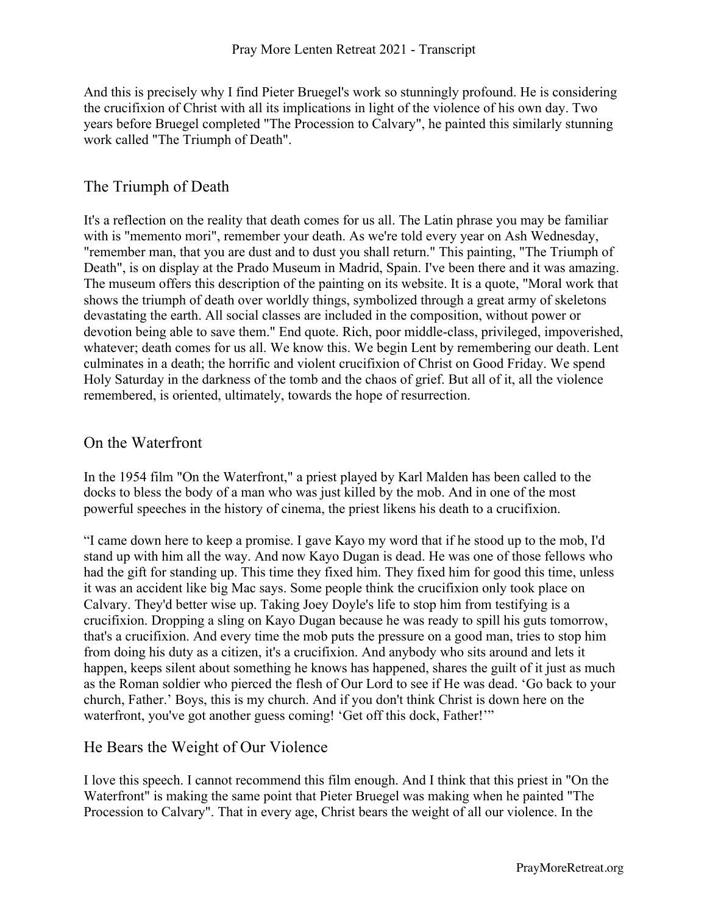And this is precisely why I find Pieter Bruegel's work so stunningly profound. He is considering the crucifixion of Christ with all its implications in light of the violence of his own day. Two years before Bruegel completed "The Procession to Calvary", he painted this similarly stunning work called "The Triumph of Death".

## The Triumph of Death

It's a reflection on the reality that death comes for us all. The Latin phrase you may be familiar with is "memento mori", remember your death. As we're told every year on Ash Wednesday, "remember man, that you are dust and to dust you shall return." This painting, "The Triumph of Death", is on display at the Prado Museum in Madrid, Spain. I've been there and it was amazing. The museum offers this description of the painting on its website. It is a quote, "Moral work that shows the triumph of death over worldly things, symbolized through a great army of skeletons devastating the earth. All social classes are included in the composition, without power or devotion being able to save them." End quote. Rich, poor middle-class, privileged, impoverished, whatever; death comes for us all. We know this. We begin Lent by remembering our death. Lent culminates in a death; the horrific and violent crucifixion of Christ on Good Friday. We spend Holy Saturday in the darkness of the tomb and the chaos of grief. But all of it, all the violence remembered, is oriented, ultimately, towards the hope of resurrection.

#### On the Waterfront

In the 1954 film "On the Waterfront," a priest played by Karl Malden has been called to the docks to bless the body of a man who was just killed by the mob. And in one of the most powerful speeches in the history of cinema, the priest likens his death to a crucifixion.

"I came down here to keep a promise. I gave Kayo my word that if he stood up to the mob, I'd stand up with him all the way. And now Kayo Dugan is dead. He was one of those fellows who had the gift for standing up. This time they fixed him. They fixed him for good this time, unless it was an accident like big Mac says. Some people think the crucifixion only took place on Calvary. They'd better wise up. Taking Joey Doyle's life to stop him from testifying is a crucifixion. Dropping a sling on Kayo Dugan because he was ready to spill his guts tomorrow, that's a crucifixion. And every time the mob puts the pressure on a good man, tries to stop him from doing his duty as a citizen, it's a crucifixion. And anybody who sits around and lets it happen, keeps silent about something he knows has happened, shares the guilt of it just as much as the Roman soldier who pierced the flesh of Our Lord to see if He was dead. 'Go back to your church, Father.' Boys, this is my church. And if you don't think Christ is down here on the waterfront, you've got another guess coming! 'Get off this dock, Father!'"

## He Bears the Weight of Our Violence

I love this speech. I cannot recommend this film enough. And I think that this priest in "On the Waterfront" is making the same point that Pieter Bruegel was making when he painted "The Procession to Calvary". That in every age, Christ bears the weight of all our violence. In the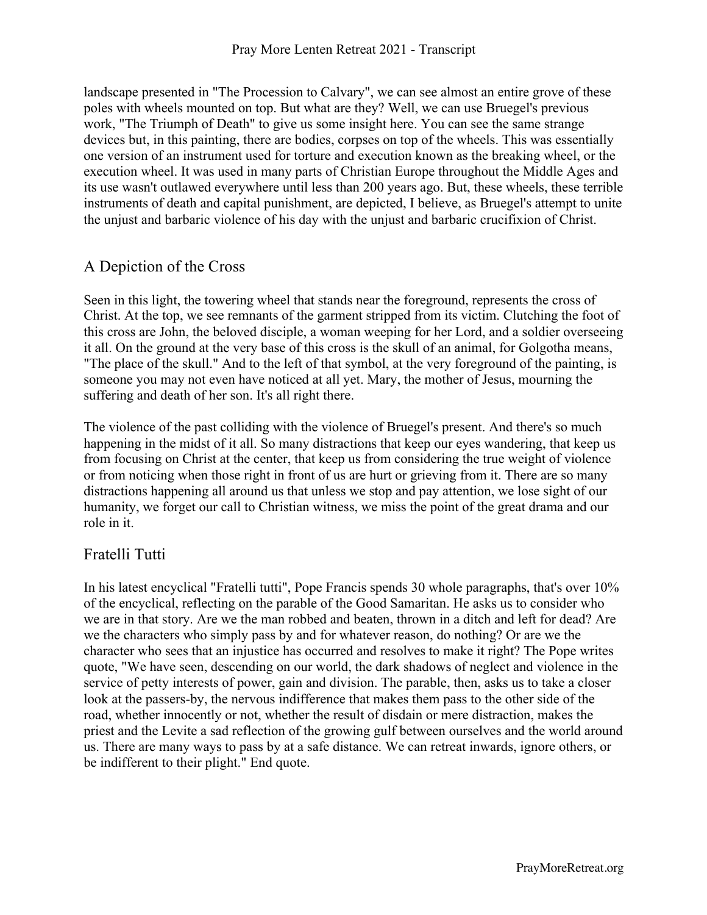landscape presented in "The Procession to Calvary", we can see almost an entire grove of these poles with wheels mounted on top. But what are they? Well, we can use Bruegel's previous work, "The Triumph of Death" to give us some insight here. You can see the same strange devices but, in this painting, there are bodies, corpses on top of the wheels. This was essentially one version of an instrument used for torture and execution known as the breaking wheel, or the execution wheel. It was used in many parts of Christian Europe throughout the Middle Ages and its use wasn't outlawed everywhere until less than 200 years ago. But, these wheels, these terrible instruments of death and capital punishment, are depicted, I believe, as Bruegel's attempt to unite the unjust and barbaric violence of his day with the unjust and barbaric crucifixion of Christ.

# A Depiction of the Cross

Seen in this light, the towering wheel that stands near the foreground, represents the cross of Christ. At the top, we see remnants of the garment stripped from its victim. Clutching the foot of this cross are John, the beloved disciple, a woman weeping for her Lord, and a soldier overseeing it all. On the ground at the very base of this cross is the skull of an animal, for Golgotha means, "The place of the skull." And to the left of that symbol, at the very foreground of the painting, is someone you may not even have noticed at all yet. Mary, the mother of Jesus, mourning the suffering and death of her son. It's all right there.

The violence of the past colliding with the violence of Bruegel's present. And there's so much happening in the midst of it all. So many distractions that keep our eyes wandering, that keep us from focusing on Christ at the center, that keep us from considering the true weight of violence or from noticing when those right in front of us are hurt or grieving from it. There are so many distractions happening all around us that unless we stop and pay attention, we lose sight of our humanity, we forget our call to Christian witness, we miss the point of the great drama and our role in it.

## Fratelli Tutti

In his latest encyclical "Fratelli tutti", Pope Francis spends 30 whole paragraphs, that's over 10% of the encyclical, reflecting on the parable of the Good Samaritan. He asks us to consider who we are in that story. Are we the man robbed and beaten, thrown in a ditch and left for dead? Are we the characters who simply pass by and for whatever reason, do nothing? Or are we the character who sees that an injustice has occurred and resolves to make it right? The Pope writes quote, "We have seen, descending on our world, the dark shadows of neglect and violence in the service of petty interests of power, gain and division. The parable, then, asks us to take a closer look at the passers-by, the nervous indifference that makes them pass to the other side of the road, whether innocently or not, whether the result of disdain or mere distraction, makes the priest and the Levite a sad reflection of the growing gulf between ourselves and the world around us. There are many ways to pass by at a safe distance. We can retreat inwards, ignore others, or be indifferent to their plight." End quote.